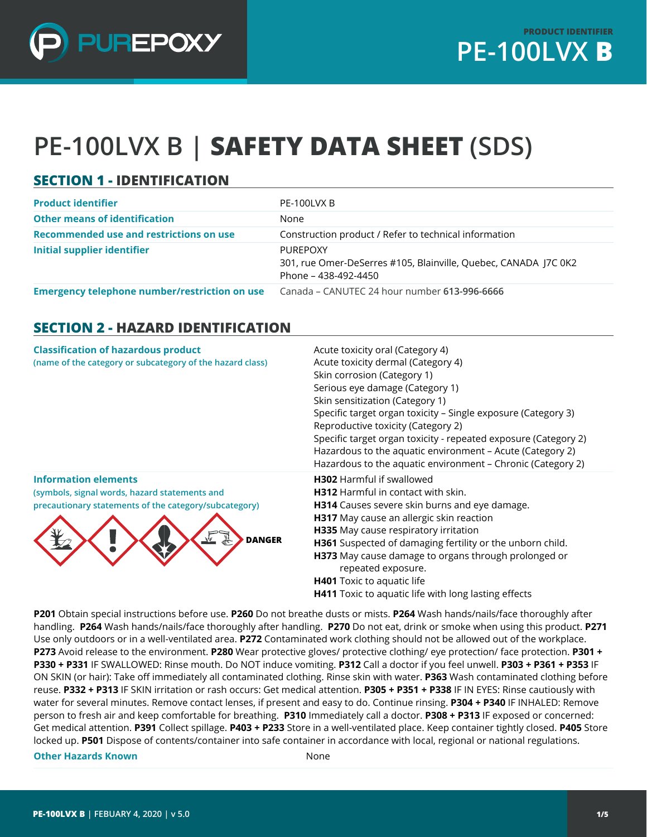

# **PE-100LVX B | SAFETY DATA SHEET (SDS)**

## **SECTION 1 - IDENTIFICATION**

| <b>Product identifier</b>                            | PE-100LVX B                                                                                         |
|------------------------------------------------------|-----------------------------------------------------------------------------------------------------|
| <b>Other means of identification</b>                 | None                                                                                                |
| Recommended use and restrictions on use              | Construction product / Refer to technical information                                               |
| <b>Initial supplier identifier</b>                   | PURFPOXY<br>301, rue Omer-DeSerres #105, Blainville, Quebec, CANADA J7C 0K2<br>Phone – 438-492-4450 |
| <b>Emergency telephone number/restriction on use</b> | Canada – CANUTEC 24 hour number 613-996-6666                                                        |

#### **SECTION 2 - HAZARD IDENTIFICATION**

| <b>Classification of hazardous product</b><br>(name of the category or subcategory of the hazard class)                                                              | Acute toxicity oral (Category 4)<br>Acute toxicity dermal (Category 4)<br>Skin corrosion (Category 1)<br>Serious eye damage (Category 1)<br>Skin sensitization (Category 1)<br>Specific target organ toxicity - Single exposure (Category 3)<br>Reproductive toxicity (Category 2)<br>Specific target organ toxicity - repeated exposure (Category 2)<br>Hazardous to the aquatic environment - Acute (Category 2)<br>Hazardous to the aquatic environment - Chronic (Category 2) |
|----------------------------------------------------------------------------------------------------------------------------------------------------------------------|-----------------------------------------------------------------------------------------------------------------------------------------------------------------------------------------------------------------------------------------------------------------------------------------------------------------------------------------------------------------------------------------------------------------------------------------------------------------------------------|
| <b>Information elements</b><br>(symbols, signal words, hazard statements and<br>precautionary statements of the category/subcategory)<br><u>shr</u><br><b>DANGER</b> | <b>H302</b> Harmful if swallowed<br><b>H312</b> Harmful in contact with skin.<br><b>H314</b> Causes severe skin burns and eye damage.<br>H317 May cause an allergic skin reaction<br>H335 May cause respiratory irritation<br>H361 Suspected of damaging fertility or the unborn child.<br>H373 May cause damage to organs through prolonged or<br>repeated exposure.<br>H401 Toxic to aquatic life<br><b>H411</b> Toxic to aquatic life with long lasting effects                |

**P201** Obtain special instructions before use. **P260** Do not breathe dusts or mists. **P264** Wash hands/nails/face thoroughly after handling. **P264** Wash hands/nails/face thoroughly after handling. **P270** Do not eat, drink or smoke when using this product. **P271**  Use only outdoors or in a well-ventilated area. **P272** Contaminated work clothing should not be allowed out of the workplace. **P273** Avoid release to the environment. **P280** Wear protective gloves/ protective clothing/ eye protection/ face protection. **P301 + P330 + P331** IF SWALLOWED: Rinse mouth. Do NOT induce vomiting. **P312** Call a doctor if you feel unwell. **P303 + P361 + P353** IF ON SKIN (or hair): Take off immediately all contaminated clothing. Rinse skin with water. **P363** Wash contaminated clothing before reuse. **P332 + P313** IF SKIN irritation or rash occurs: Get medical attention. **P305 + P351 + P338** IF IN EYES: Rinse cautiously with water for several minutes. Remove contact lenses, if present and easy to do. Continue rinsing. **P304 + P340** IF INHALED: Remove person to fresh air and keep comfortable for breathing. **P310** Immediately call a doctor. **P308 + P313** IF exposed or concerned: Get medical attention. **P391** Collect spillage. **P403 + P233** Store in a well-ventilated place. Keep container tightly closed. **P405** Store locked up. **P501** Dispose of contents/container into safe container in accordance with local, regional or national regulations.

**Other Hazards Known** None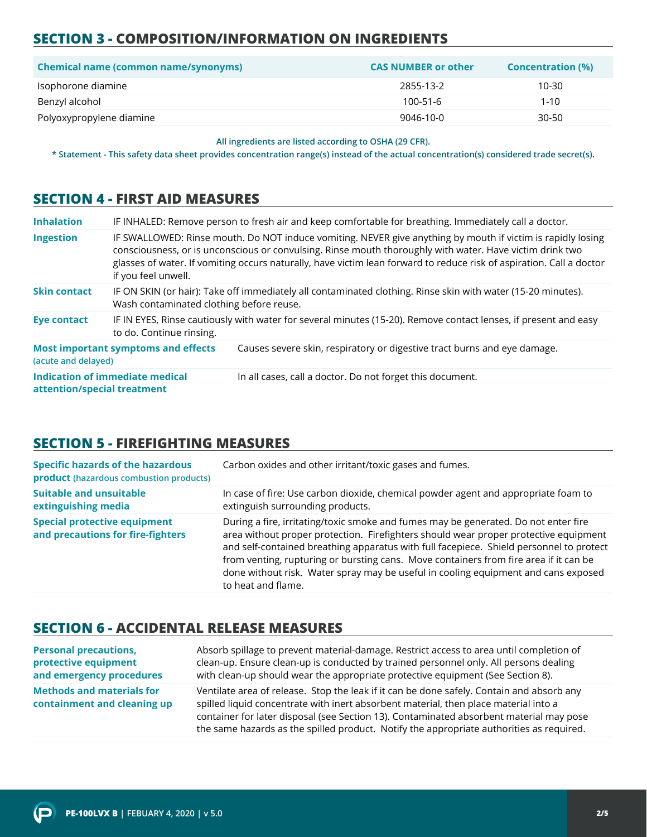# **SECTION 3 - COMPOSITION/INFORMATION ON INGREDIENTS**

| <b>Chemical name (common name/synonyms)</b> | <b>CAS NUMBER or other</b> | <b>Concentration (%)</b> |
|---------------------------------------------|----------------------------|--------------------------|
| Isophorone diamine                          | 2855-13-2                  | $10 - 30$                |
| Benzyl alcohol                              | $100 - 51 - 6$             | $1 - 10$                 |
| Polyoxypropylene diamine                    | 9046-10-0                  | 30-50                    |

**All ingredients are listed according to OSHA (29 CFR).**

**\* Statement - This safety data sheet provides concentration range(s) instead of the actual concentration(s) considered trade secret(s).**

#### **SECTION 4 - FIRST AID MEASURES**

| <b>Inhalation</b>           |                                            | IF INHALED: Remove person to fresh air and keep comfortable for breathing. Immediately call a doctor.                                                                                                                                                                                                                                           |
|-----------------------------|--------------------------------------------|-------------------------------------------------------------------------------------------------------------------------------------------------------------------------------------------------------------------------------------------------------------------------------------------------------------------------------------------------|
| Ingestion                   | if you feel unwell.                        | IF SWALLOWED: Rinse mouth. Do NOT induce vomiting. NEVER give anything by mouth if victim is rapidly losing<br>consciousness, or is unconscious or convulsing. Rinse mouth thoroughly with water. Have victim drink two<br>glasses of water. If vomiting occurs naturally, have victim lean forward to reduce risk of aspiration. Call a doctor |
| <b>Skin contact</b>         | Wash contaminated clothing before reuse.   | IF ON SKIN (or hair): Take off immediately all contaminated clothing. Rinse skin with water (15-20 minutes).                                                                                                                                                                                                                                    |
| <b>Eye contact</b>          | to do. Continue rinsing.                   | IF IN EYES, Rinse cautiously with water for several minutes (15-20). Remove contact lenses, if present and easy                                                                                                                                                                                                                                 |
| (acute and delayed)         | <b>Most important symptoms and effects</b> | Causes severe skin, respiratory or digestive tract burns and eye damage.                                                                                                                                                                                                                                                                        |
| attention/special treatment | Indication of immediate medical            | In all cases, call a doctor. Do not forget this document.                                                                                                                                                                                                                                                                                       |

#### **SECTION 5 - FIREFIGHTING MEASURES**

| <b>Specific hazards of the hazardous</b><br>product (hazardous combustion products) | Carbon oxides and other irritant/toxic gases and fumes.                                                                                                                                                                                                                                                                                                                                                                                                                     |
|-------------------------------------------------------------------------------------|-----------------------------------------------------------------------------------------------------------------------------------------------------------------------------------------------------------------------------------------------------------------------------------------------------------------------------------------------------------------------------------------------------------------------------------------------------------------------------|
| <b>Suitable and unsuitable</b><br>extinguishing media                               | In case of fire: Use carbon dioxide, chemical powder agent and appropriate foam to<br>extinguish surrounding products.                                                                                                                                                                                                                                                                                                                                                      |
| <b>Special protective equipment</b><br>and precautions for fire-fighters            | During a fire, irritating/toxic smoke and fumes may be generated. Do not enter fire<br>area without proper protection. Firefighters should wear proper protective equipment<br>and self-contained breathing apparatus with full facepiece. Shield personnel to protect<br>from venting, rupturing or bursting cans. Move containers from fire area if it can be<br>done without risk. Water spray may be useful in cooling equipment and cans exposed<br>to heat and flame. |

#### **SECTION 6 - ACCIDENTAL RELEASE MEASURES**

| <b>Personal precautions,</b>                                    | Absorb spillage to prevent material-damage. Restrict access to area until completion of                                                                                                                                                                                                                                                                                  |
|-----------------------------------------------------------------|--------------------------------------------------------------------------------------------------------------------------------------------------------------------------------------------------------------------------------------------------------------------------------------------------------------------------------------------------------------------------|
| protective equipment                                            | clean-up. Ensure clean-up is conducted by trained personnel only. All persons dealing                                                                                                                                                                                                                                                                                    |
| and emergency procedures                                        | with clean-up should wear the appropriate protective equipment (See Section 8).                                                                                                                                                                                                                                                                                          |
| <b>Methods and materials for</b><br>containment and cleaning up | Ventilate area of release. Stop the leak if it can be done safely. Contain and absorb any<br>spilled liquid concentrate with inert absorbent material, then place material into a<br>container for later disposal (see Section 13). Contaminated absorbent material may pose<br>the same hazards as the spilled product. Notify the appropriate authorities as required. |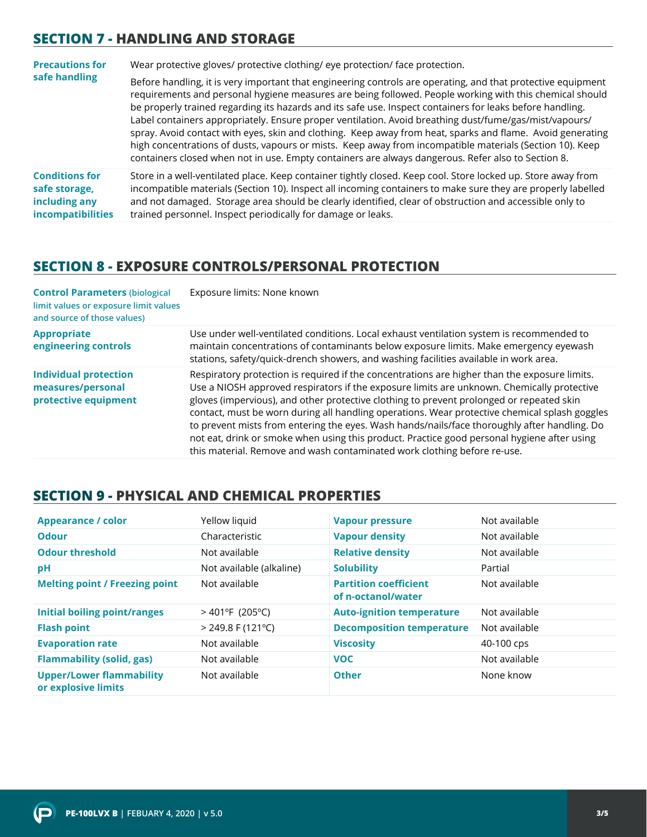## **SECTION 7 - HANDLING AND STORAGE**

| <b>Precautions for</b>                                                              | Wear protective gloves/ protective clothing/ eye protection/ face protection.                                                                                                                                                                                                                                                                                                                                                                                                                                                                                                                                                                                                                                                                                                  |  |
|-------------------------------------------------------------------------------------|--------------------------------------------------------------------------------------------------------------------------------------------------------------------------------------------------------------------------------------------------------------------------------------------------------------------------------------------------------------------------------------------------------------------------------------------------------------------------------------------------------------------------------------------------------------------------------------------------------------------------------------------------------------------------------------------------------------------------------------------------------------------------------|--|
| safe handling                                                                       | Before handling, it is very important that engineering controls are operating, and that protective equipment<br>requirements and personal hygiene measures are being followed. People working with this chemical should<br>be properly trained regarding its hazards and its safe use. Inspect containers for leaks before handling.<br>Label containers appropriately. Ensure proper ventilation. Avoid breathing dust/fume/gas/mist/vapours/<br>spray. Avoid contact with eyes, skin and clothing. Keep away from heat, sparks and flame. Avoid generating<br>high concentrations of dusts, vapours or mists. Keep away from incompatible materials (Section 10). Keep<br>containers closed when not in use. Empty containers are always dangerous. Refer also to Section 8. |  |
| <b>Conditions for</b><br>safe storage,<br>including any<br><b>incompatibilities</b> | Store in a well-ventilated place. Keep container tightly closed. Keep cool. Store locked up. Store away from<br>incompatible materials (Section 10). Inspect all incoming containers to make sure they are properly labelled<br>and not damaged. Storage area should be clearly identified, clear of obstruction and accessible only to<br>trained personnel. Inspect periodically for damage or leaks.                                                                                                                                                                                                                                                                                                                                                                        |  |

## **SECTION 8 - EXPOSURE CONTROLS/PERSONAL PROTECTION**

| <b>Control Parameters (biological</b><br>limit values or exposure limit values<br>and source of those values) | Exposure limits: None known                                                                                                                                                                                                                                                                                                                                                                                                                                                                                                                                                                                                                                         |
|---------------------------------------------------------------------------------------------------------------|---------------------------------------------------------------------------------------------------------------------------------------------------------------------------------------------------------------------------------------------------------------------------------------------------------------------------------------------------------------------------------------------------------------------------------------------------------------------------------------------------------------------------------------------------------------------------------------------------------------------------------------------------------------------|
| <b>Appropriate</b><br>engineering controls                                                                    | Use under well-ventilated conditions. Local exhaust ventilation system is recommended to<br>maintain concentrations of contaminants below exposure limits. Make emergency eyewash<br>stations, safety/quick-drench showers, and washing facilities available in work area.                                                                                                                                                                                                                                                                                                                                                                                          |
| <b>Individual protection</b><br>measures/personal<br>protective equipment                                     | Respiratory protection is required if the concentrations are higher than the exposure limits.<br>Use a NIOSH approved respirators if the exposure limits are unknown. Chemically protective<br>gloves (impervious), and other protective clothing to prevent prolonged or repeated skin<br>contact, must be worn during all handling operations. Wear protective chemical splash goggles<br>to prevent mists from entering the eyes. Wash hands/nails/face thoroughly after handling. Do<br>not eat, drink or smoke when using this product. Practice good personal hygiene after using<br>this material. Remove and wash contaminated work clothing before re-use. |

#### **SECTION 9 - PHYSICAL AND CHEMICAL PROPERTIES**

| <b>Appearance / color</b>                              | Yellow liquid                 | <b>Vapour pressure</b>                             | Not available |
|--------------------------------------------------------|-------------------------------|----------------------------------------------------|---------------|
| <b>Odour</b>                                           | Characteristic                | <b>Vapour density</b>                              | Not available |
| <b>Odour threshold</b>                                 | Not available                 | <b>Relative density</b>                            | Not available |
| pH                                                     | Not available (alkaline)      | <b>Solubility</b>                                  | Partial       |
| <b>Melting point / Freezing point</b>                  | Not available                 | <b>Partition coefficient</b><br>of n-octanol/water | Not available |
| <b>Initial boiling point/ranges</b>                    | $>401^{\circ}F(205^{\circ}C)$ | <b>Auto-ignition temperature</b>                   | Not available |
| <b>Flash point</b>                                     | $>$ 249.8 F (121 °C)          | <b>Decomposition temperature</b>                   | Not available |
| <b>Evaporation rate</b>                                | Not available                 | <b>Viscosity</b>                                   | 40-100 cps    |
| <b>Flammability (solid, gas)</b>                       | Not available                 | <b>VOC</b>                                         | Not available |
| <b>Upper/Lower flammability</b><br>or explosive limits | Not available                 | <b>Other</b>                                       | None know     |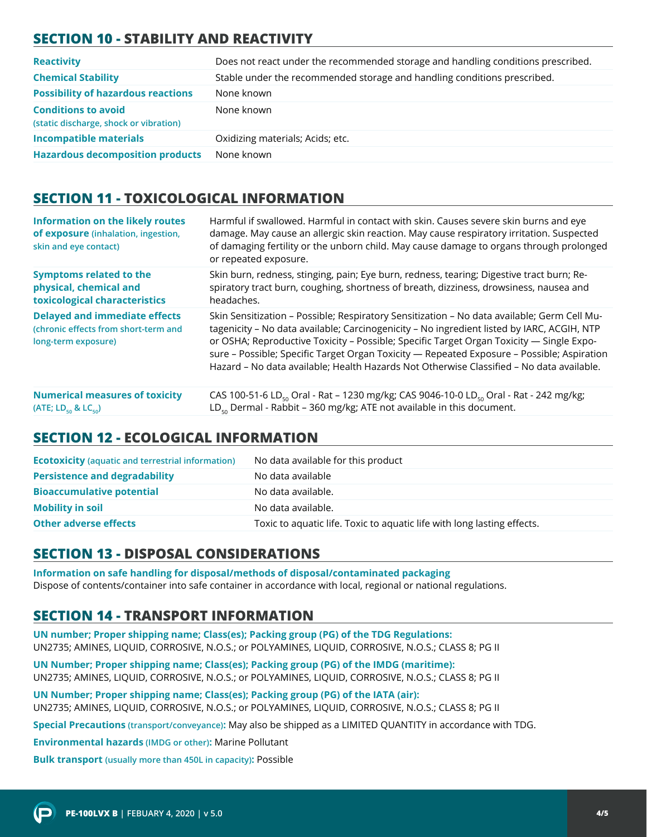# **SECTION 10 - STABILITY AND REACTIVITY**

| <b>Reactivity</b>                                                    | Does not react under the recommended storage and handling conditions prescribed. |
|----------------------------------------------------------------------|----------------------------------------------------------------------------------|
| <b>Chemical Stability</b>                                            | Stable under the recommended storage and handling conditions prescribed.         |
| <b>Possibility of hazardous reactions</b>                            | None known                                                                       |
| <b>Conditions to avoid</b><br>(static discharge, shock or vibration) | None known                                                                       |
| <b>Incompatible materials</b>                                        | Oxidizing materials; Acids; etc.                                                 |
| <b>Hazardous decomposition products</b>                              | None known                                                                       |

## **SECTION 11 - TOXICOLOGICAL INFORMATION**

| <b>Information on the likely routes</b><br>of exposure (inhalation, ingestion,<br>skin and eye contact) | Harmful if swallowed. Harmful in contact with skin. Causes severe skin burns and eye<br>damage. May cause an allergic skin reaction. May cause respiratory irritation. Suspected<br>of damaging fertility or the unborn child. May cause damage to organs through prolonged<br>or repeated exposure.                                                                                                                                                                            |
|---------------------------------------------------------------------------------------------------------|---------------------------------------------------------------------------------------------------------------------------------------------------------------------------------------------------------------------------------------------------------------------------------------------------------------------------------------------------------------------------------------------------------------------------------------------------------------------------------|
| <b>Symptoms related to the</b>                                                                          | Skin burn, redness, stinging, pain; Eye burn, redness, tearing; Digestive tract burn; Re-                                                                                                                                                                                                                                                                                                                                                                                       |
| physical, chemical and                                                                                  | spiratory tract burn, coughing, shortness of breath, dizziness, drowsiness, nausea and                                                                                                                                                                                                                                                                                                                                                                                          |
| toxicological characteristics                                                                           | headaches.                                                                                                                                                                                                                                                                                                                                                                                                                                                                      |
| <b>Delayed and immediate effects</b><br>(chronic effects from short-term and<br>long-term exposure)     | Skin Sensitization - Possible; Respiratory Sensitization - No data available; Germ Cell Mu-<br>tagenicity - No data available; Carcinogenicity - No ingredient listed by IARC, ACGIH, NTP<br>or OSHA; Reproductive Toxicity - Possible; Specific Target Organ Toxicity - Single Expo-<br>sure - Possible; Specific Target Organ Toxicity - Repeated Exposure - Possible; Aspiration<br>Hazard - No data available; Health Hazards Not Otherwise Classified - No data available. |
| <b>Numerical measures of toxicity</b>                                                                   | CAS 100-51-6 LD <sub>50</sub> Oral - Rat - 1230 mg/kg; CAS 9046-10-0 LD <sub>50</sub> Oral - Rat - 242 mg/kg;                                                                                                                                                                                                                                                                                                                                                                   |
| (ATE; LD <sub>50</sub> & LC <sub>50</sub> )                                                             | $LD_{50}$ Dermal - Rabbit - 360 mg/kg; ATE not available in this document.                                                                                                                                                                                                                                                                                                                                                                                                      |

#### **SECTION 12 - ECOLOGICAL INFORMATION**

| <b>Ecotoxicity</b> (aquatic and terrestrial information) | No data available for this product                                      |
|----------------------------------------------------------|-------------------------------------------------------------------------|
| <b>Persistence and degradability</b>                     | No data available                                                       |
| <b>Bioaccumulative potential</b>                         | No data available.                                                      |
| <b>Mobility in soil</b>                                  | No data available.                                                      |
| <b>Other adverse effects</b>                             | Toxic to aquatic life. Toxic to aquatic life with long lasting effects. |

# **SECTION 13 - DISPOSAL CONSIDERATIONS**

**Information on safe handling for disposal/methods of disposal/contaminated packaging**  Dispose of contents/container into safe container in accordance with local, regional or national regulations.

#### **SECTION 14 - TRANSPORT INFORMATION**

**UN number; Proper shipping name; Class(es); Packing group (PG) of the TDG Regulations:** UN2735; AMINES, LIQUID, CORROSIVE, N.O.S.; or POLYAMINES, LIQUID, CORROSIVE, N.O.S.; CLASS 8; PG II

**UN Number; Proper shipping name; Class(es); Packing group (PG) of the IMDG (maritime):** UN2735; AMINES, LIQUID, CORROSIVE, N.O.S.; or POLYAMINES, LIQUID, CORROSIVE, N.O.S.; CLASS 8; PG II

**UN Number; Proper shipping name; Class(es); Packing group (PG) of the IATA (air):** UN2735; AMINES, LIQUID, CORROSIVE, N.O.S.; or POLYAMINES, LIQUID, CORROSIVE, N.O.S.; CLASS 8; PG II

**Special Precautions (transport/conveyance):** May also be shipped as a LIMITED QUANTITY in accordance with TDG.

**Environmental hazards (IMDG or other):** Marine Pollutant

**Bulk transport (usually more than 450L in capacity):** Possible